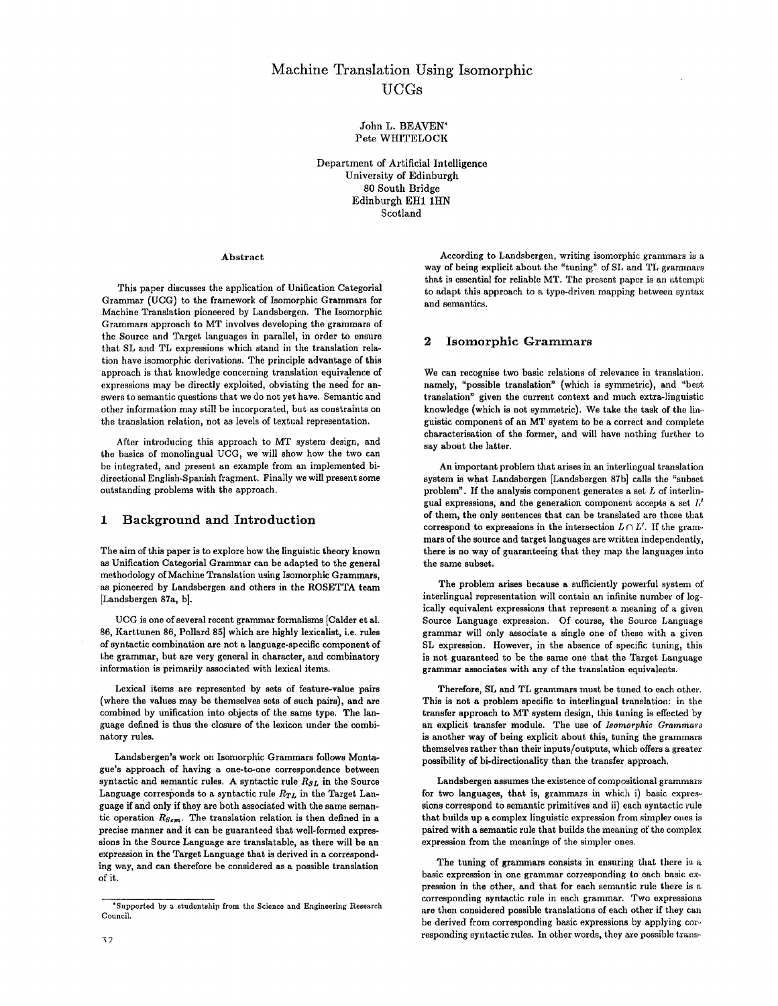# Machine Translation Using Isomorphic UCGs

John L. BEAVEN\* Pete WHITELOCK

Department of Artificial Intelligence University of Edinburgh 80 South Bridge Edinburgh EH1 1HN Scotland

#### Abstract

This paper discusses the application of Unification Categorial Grammar (UCG) to the framework of Isomorphic Grammars for Machine Translation pioneered by Landsbergen. The Isomorphic Grammars approach to MT involves developing the grammars of the Source and Target languages in parallel, in order to ensure that SL and TL expressions which stand in the translation relation have isomorphic derivations. The principle advantage of this approach is that knowledge concerning translation equivalence of expressions may be directly exploited, obviating the need for answers to semantic questions that we do not yet have. Semantic and other information may still be incorporated, but as constraints on the translation relation, not as levels of textual representation.

After introducing this approach to MT system design, and the basics of monolingual UCG, we will show how the two can be integrated, and present an example from an implemented bidirectional Engllsh-Spanish fragment. Finally we will present some outstanding problems with the approach.

#### **1 Background and Introduction**

The aim of this paper is to explore how the linguistic theory known as Unification Categorial Grammar can be adapted to the general methodology of Machine Translation using Isomorphic Grammars, as pioneered by Landsbergen and others in the ROSETTA team [Landsbergen 87a, b].

UCG is one of several recent grammar formalisms [Calder et al. 86, Karttunen 86, Pollard 85] which are highly lexicalist, i.e. rules of syntactic combination are not a language-specific component of the grammar, but are very general in character, and combinatory information is primarily associated with lexical items.

Lexical items are represented by sets of feature-value pairs (where the values may be themselves sets of such pairs}, and are combined by unification into objects of the same type. The language defined is thus the closure of the lexicon under the combinatory rules.

Landsbergen's work on Isomorphic Grammars follows Montague's approach of having a one-to-one correspondence between syntactic and semantic rules. A syntactic rule  $R_{SL}$  in the Source Language corresponds to a syntactic rule  $R_{TL}$  in the Target Language if and only if they are both associated with the same semantic operation *Rsem.* The translation relation is then defined in a precise manner and it can be guaranteed that well-formed expressions in the Source Language are translatable, as there will be an expression in the Target Language that is derived in a corresponding way, and can therefore be considered as a possible translation of it.

According to Landsbergen, writing isomorphic grammars is a way of being explicit about the "tuning" of SL and TL grammars that is essential for reliable MT. The present paper is an attempt to adapt this approach to a type-driven mapping between syntax and semantics.

## 2 Isomorphic Grammars

We can recognise two basic relations of relevance in translation. namely, "possible translation" (which is symmetric}, and "best translation" given the current context and much extra-linguistic knowledge (which is not symmetric). We take the task of the linguistic component of an MT system to be a correct and complete characterisation of the former, and will have nothing further to say about the latter.

An important problem that arises in an interlingual translation system is what Landsbergen [Landsbergen 87b] calls the "subset problem". If the analysis component generates a set  $L$  of interlingual expressions, and the generation component accepts a set  $L'$ of them, the only sentences that can be translated are those that correspond to expressions in the intersection  $L \cap L'$ . If the grammars of the source and target languages are written independently, there is no way of guaranteeing that they map the languages into the same subset.

The problem arises because a sufficiently powerful system of interlingual representation will contain an infinite number of logically equivalent expressions that represent a meaning of a given Source Language expression. Of course, the Source Language grammar will only associate a single one of these with a given SL expression. However, in the absence of specific tuning, this is not guaranteed to be the same one that the Target Language grammar associates with any of the translation equivalents.

Therefore, SL and TL grammars must be tuned to each other. This is not a problem specific to interlingual translation: in the transfer approach to MT system design, this tuning is effected by an explicit transfer module. The use of *Isomorphic Grammars*  is another way of being explicit about this, tuning the grammars themselves rather than their inputs/outputs, which offers a greater possibility of bi-directionality than the transfer approach.

Landsbergen assumes the existence of compositional grammars for two languages, that is, grammars in which i) basic expressions correspond to semantic primitives and ii) each syntactic rule that builds up a complex linguistic expression from simpler ones is paired with a semantic rule that builds the meaning of the complex expression from the meanings of the simpler ones.

The tuning of grammars consists in ensuring that there is a basic expression in one grammar corresponding to each basic expression in the other, and that for each semantic rule there is a corresponding syntactic rule in each grammar. Two expressions are then considered possible translations of each other if they can be derived from corresponding basic expressions by applying corresponding syntactic rules. In other words, they are possible trans-

<sup>\*</sup>Supported by a studentship from the Science and Engineering Research Council.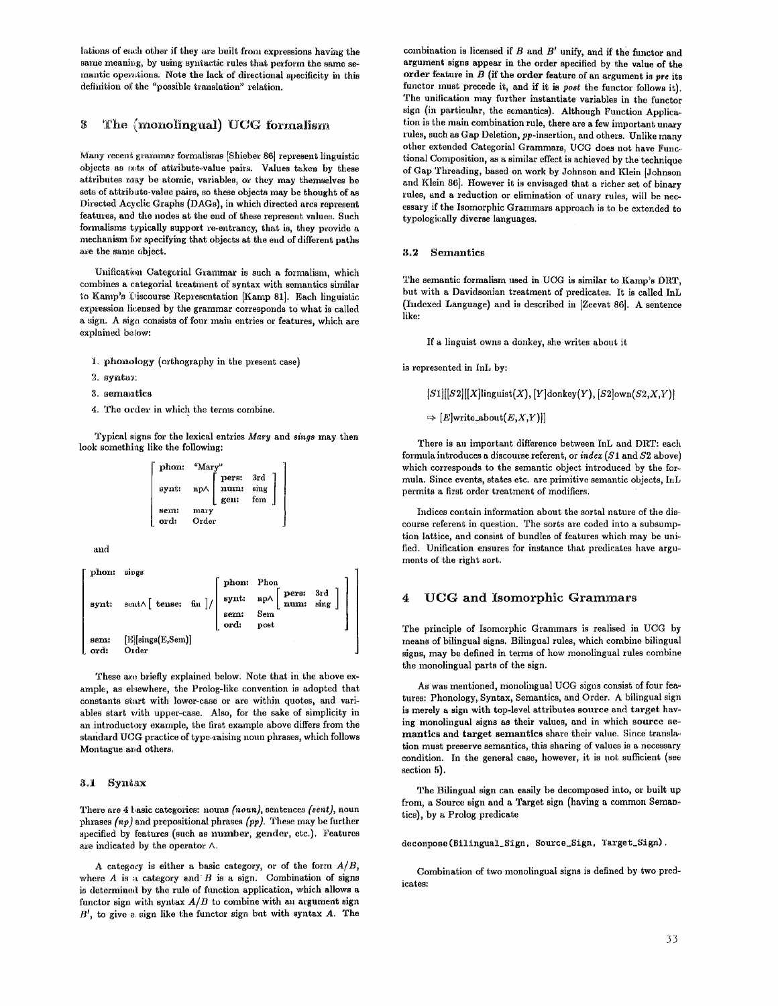lations of each other if they are built from expressions having the same meaning, by using syntactic rules that perform the same semantic operations. Note the lack of directional specificity in this definition of the "possible translation" relation.

# $3$  The  ${monomingual}$  UCG formalism

Many recent grarmnar formalisms [Shieber 86] represent linguistic objects as sets of attribute-value pairs. Values taken by these attributes may be atomic, variables, or they may thenmelves be sets of attribate-value pairs, so these objects may be thought of as Directed Acyclic Graphs (DAGs), in which directed arcs represent features, and the nodes at the end of these represent values. Such formalisms typically support re-entrancy, that is, they provide a mechanism for specifying that objects at the end of different paths are the same object.

Unification Categorial Grammar is such a formalism, which combines a categorial treatment of syntax with semantics similar to Kamp's Discourse Representation [Kamp 81]. Each linguistic expression licensed by the grammar corresponds to what is called a sign. A sign consists of four main entries or features, which are explained below:

- 1. phonology (orthography in the present case)
- 2. synta):
- 3. semantics
- 4. The order in which the terms combine.

Typical signs for the lexical entries *Mary* and *sings* may then look something like the following:

| phon:        | "Mary"        |                       |                    |  |
|--------------|---------------|-----------------------|--------------------|--|
| synt:        | пр∧           | pers:<br>num:<br>gen: | 3rd<br>sing<br>fem |  |
| sem:<br>ord: | mary<br>Order |                       |                    |  |

and

| phon:<br>synt: | sings<br>sent $\wedge$ [ tense: fin ]/ |              | phon: Phon<br>synt: $np \wedge \begin{bmatrix} pers: & 3rd \\ num: & sing \end{bmatrix}$ |  |
|----------------|----------------------------------------|--------------|------------------------------------------------------------------------------------------|--|
|                |                                        | sem:<br>ord: | Sem<br>post                                                                              |  |
| sem:<br>l ord: | [E][sings(E,Sem)]<br>Order             |              |                                                                                          |  |

These are briefly explained below. Note that in the above example, as ehewhere, the Prolog-like convention is adopted that constants start with lower-case or are within quotes, and variables start with upper-case. Also, for the sake of simplicity in an introductory example, the first example above differs from the standard UCG practice of type-raising noun phrases, which follows Montague and others.

## 3.]. Syntax

There are 4 basic categories: nouns *(noun),* sentences *(seat),* noun phrases *(np)* and prepositional phrases *(pp).* These may be further specified by features (such as nuniher, gender, etc.). Features are indicated by the operator A.

A category is either a basic category, or of the form *A/B,*  where  $A$  is a category and  $B$  is a sign. Combination of signs is determined by the rule of function application, which allows a functor sign with syntax  $A/B$  to combine with an argument sign  $B'$ , to give a sign like the functor sign but with syntax  $A$ . The

combination is licensed if  $B$  and  $B'$  unify, and if the functor and argument signs appear in the order specified by the value of the order feature in B (if the order feature of an argument is *pre* its functor must precede it, and if it is *poet* the functor follows it). The unification may further instantiate variables in the functor sign (in particular, the semantics). Although Function Application is the main combination rule, there are a few important unary rules, such as Gap Deletion, pp-insertion, and others. Unlike many other extended Categorial Grammars, UCG does not have Func~ tional Composition, as a similar effect is achieved by the technique of Gap Threading, based on work by Johnson and Klein ]Johnson and Klein 86]. However it is envisaged that a richer set of binary rules, and a reduction or elimination of unary rules, will be necessary if the Isomorphic Grammars approach is to be extended to typologically diverse languages.

#### 3.2 Semantics

The semantic formalism used in UCG is similar to Kamp's DRT, but with a Davidsonian treatment of predicates. It is called InL (Indexed Language) and is described in [Zeevat 86]. A sentence like:

If a linguist owns a donkey, she writes about it

is represented in InL by:

*[S1][[S2][[X]linguist(X), [Y]donkey(Y), [S2]own(S2,Z,Y)]* 

 $\Rightarrow$  [*E*]write\_about(*E,X,Y*)]]

There is an important difference between InL and DRT: each formula introduces a discourse referent, or *index (\$1* and \$2 above) which corresponds to the semantic object introduced by the formula. Since events, states etc. are primitive semantic objects, InL permits a first order treatment of modifiers.

Indices contain information about the sortal nature of the discourse referent in question. The sorts are coded into a subsumption lattice, and consist of bundles of features which may be unified. Unification ensures for instance that predicates have arguments of the right sort.

### **4 UCG and Isomorphic Grammars**

The principle of Isomorphic Grammars is realised in UCG by means of bilingual signs. Bilingual rules, which combine bilingual signs, may be defined in terms of how monolingual rules combine the monolingual parts of the sign.

As was mentioned, monolingual UCG signs consist of four features: Phonology, Syntax, Semantics, and Order. A bilingual sign is merely a sign with top-level attributes source and target having monolingual signs as their values, and in which source semantics and target semantics share their value. Since transla~ tion must preserve semantics, this sharing of values is a necessary condition. In the general case, however, it is not sufficient (see section 5).

The Bilingual sign can easily be decomposed into, or built up from, a Source sign and a Target sign (having a common Semantics), by a Prolog predicate

decompose(Bilingual\_Sign, Source\_Sign, Target\_Sign).

Combination of two monolingual signs is defined by two predicates: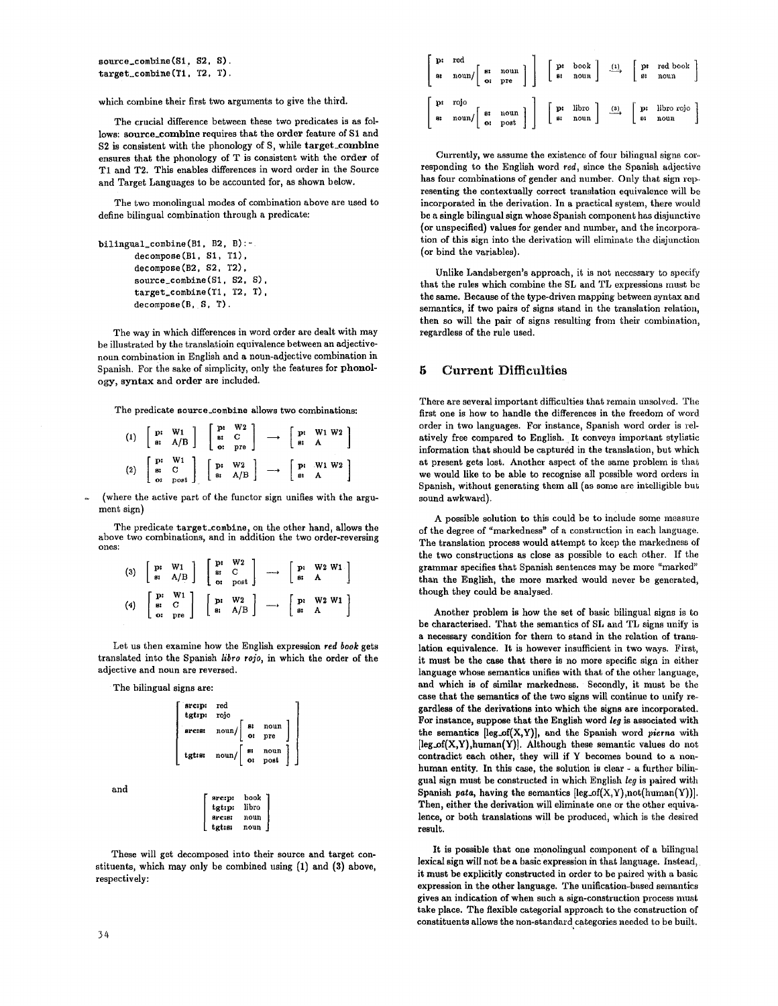source\_combine(S1, S2. S). target\_combine(Tl, T2, T).

which combine their first two arguments to give the third.

The crucial difference between these two predicates is as follows: source\_combine requires that the order feature of S1 and S2 is consistent with the phonology of S, while target\_combine ensures that the phonology of T is consistent with the order of T1 and T2. This enables differences in word order in the Source and Target Languages to be accounted for, as shown below.

The two monolingual modes of combination above are used to define bilingual combination through a predicate:

```
bilingual_combine(B1, B2, B):- 
       decompose(B1, S1, T1), 
       decompose(B2, S2, T2), 
       source_combine(S1, S2, S),
       target_combine(Tl, T2, T), 
       decompose(B, S, T).
```
The way in which differences in word order are dealt with may be illustrated by the translatioin equivalence between an adjectivenoun combination in English and a noun-adjective combination in Spanish. For the sake of simplicity, only the features for phonology, syntax and order are included.

The predicate source\_combine allows two combinations:

|  | (1) $\begin{bmatrix} p: & W1 \\ g: & A/B \end{bmatrix}$ $\begin{bmatrix} p: & W2 \\ g: & C \\ o: & pre \end{bmatrix}$ $\rightarrow \begin{bmatrix} p: & W1 W2 \\ g: & A \end{bmatrix}$                                                                                                                                                                                   |  |  |  |
|--|--------------------------------------------------------------------------------------------------------------------------------------------------------------------------------------------------------------------------------------------------------------------------------------------------------------------------------------------------------------------------|--|--|--|
|  | $(2) \left[\begin{array}{cc} \mathbf{p}; & \mathbf{W1} \\ \mathbf{s}; & \mathbf{C} \\ \mathbf{o}; & \mathbf{post} \end{array}\right] \left[\begin{array}{cc} \mathbf{p}; & \mathbf{W2} \\ \mathbf{s}; & \mathbf{A/B} \end{array}\right] \quad \longrightarrow \quad \left[\begin{array}{cc} \mathbf{p}; & \mathbf{W1 W2} \\ \mathbf{s}; & \mathbf{A} \end{array}\right]$ |  |  |  |

(where the active part of the functor sign unifies with the argument sign)

The predicate target\_combine, on the other hand, allows the above two combinations, and in addition the two order-reversing ones:

| (3) $\begin{bmatrix} \mathbf{p} & \mathbf{W} \mathbf{1} \\ \mathbf{s} & \mathbf{A/B} \end{bmatrix} \begin{bmatrix} \mathbf{p} & \mathbf{W} \mathbf{2} \\ \mathbf{s} & \mathbf{C} \\ \mathbf{0} & \mathbf{p} \mathbf{0} \mathbf{s} \mathbf{1} \end{bmatrix} \longrightarrow \begin{bmatrix} \mathbf{p} & \mathbf{W} \mathbf{2} & \mathbf{W} \mathbf{1} \\ \mathbf{s} & \mathbf{A} \end{bmatrix}$ |  |  |  |
|-------------------------------------------------------------------------------------------------------------------------------------------------------------------------------------------------------------------------------------------------------------------------------------------------------------------------------------------------------------------------------------------------|--|--|--|
| $(4) \quad \left[ \begin{array}{ccc} \mathbf{p}; & \mathbf{W1} \\ \mathbf{s}; & \mathbf{C} \\ \mathbf{o}; & \mathbf{pre} \end{array} \right] \quad \left[ \begin{array}{ccc} \mathbf{p}; & \mathbf{W2} \\ \mathbf{s}; & \mathbf{A/B} \end{array} \right] \quad \longrightarrow \quad \left[ \begin{array}{ccc} \mathbf{p}; & \mathbf{W2 W1} \\ \mathbf{s}; & \mathbf{A} \end{array} \right]$    |  |  |  |

Let us then examine how the English expression *red book* gets translated into the Spanish *llbro rojo,* in which the order of the adjective and noun are reversed.

The bilingual signs are:

|  | exercise $\begin{bmatrix} 8i & \text{noun} \\ \text{if} \\ \text{or} \\ \text{pre} \end{bmatrix}$<br>tgt:st $\begin{bmatrix} \text{sum} \\ \text{or} \\ \text{post} \end{bmatrix}$<br>book<br>src:p:<br>tgt:p:<br>libro | srcipi red<br>tgtipi rojo |  |  |
|--|-------------------------------------------------------------------------------------------------------------------------------------------------------------------------------------------------------------------------|---------------------------|--|--|
|  |                                                                                                                                                                                                                         |                           |  |  |
|  |                                                                                                                                                                                                                         |                           |  |  |

These will get decomposed into their source and target constituents, which may only be combined using (1) and (3) above, respectively:

tgt:s: noun

| $\left[\begin{array}{ccc} \mathbf{p}: & \mathbf{red} \\ \mathbf{a}: & \mathbf{noun} \end{array} \right] \left[\begin{array}{ccc} \mathbf{p}: & \mathbf{bool} \\ \mathbf{or} & \mathbf{pre} \end{array} \right] \left[\begin{array}{ccc} \mathbf{p}: & \mathbf{book} \\ \mathbf{a}: & \mathbf{noun} \end{array} \right] \quad \xrightarrow{\textbf{(1)}} \left[\begin{array}{ccc} \mathbf{p}: & \mathbf{red} \text{ book} \\ \mathbf{a}: & \mathbf{noun} \end{array} \right]$          |  |  |  |
|---------------------------------------------------------------------------------------------------------------------------------------------------------------------------------------------------------------------------------------------------------------------------------------------------------------------------------------------------------------------------------------------------------------------------------------------------------------------------------------|--|--|--|
| $\left[\begin{array}{ccc} \mathbf{p}: &\mathbf{rojo} \\ \mathbf{s}: &\mathbf{noun} \end{array}\right] \left[\begin{array}{ccc} \mathbf{p}: &\mathbf{ivro} \\ \mathbf{o}: &\mathbf{pour} \end{array}\right] \left[\begin{array}{ccc} \mathbf{p}: &\mathbf{libro} \\ \mathbf{s}: &\mathbf{noun} \end{array}\right] \quad \begin{array}{c} \textbf{(9)} &\left[\begin{array}{ccc} \mathbf{p}: &\mathbf{libro} \text{ rojo} \\ \mathbf{o}: &\mathbf{noun} \end{array}\right] \end{array}$ |  |  |  |

Currently, we assume the existence of four bilingual signs core responding to the English word red, since the Spanish adjective has four combinations of gender and number. Only that sign representing the contextually correct translation equivalence will be incorporated in the derivation. In a practical system, there would be a single bilingual sign whose Spanish component has disjunctive (or unspecified) values for gender and number, and the incorporation of this sign into the derivation will eliminate the disjunction (or bind the variables).

Unlike Landsbergen's approach, it is not necessary to specify that the rules which combine the SL and TL expressions must be the same. Because of the type-driven mapping between syntax and semantics, if two pairs of signs stand in the translation relation, then so will the pair of signs resulting from their combination, regardless of the rule used.

## 5 Current Difficulties

There are several important difficulties that remain unsolved. The first one is how to handle the differences in the freedom of word order in two languages. For instance, Spanish word order is relatively free compared to English. It conveys important stylistic information that should be captured in the translation, but which at present gets lost. Another aspect of the same problem is that we would like to be able to recognise all possible word orders in Spanish, without generating them all (as some are intelligible but, sound awkward).

A possible solution to this could be to include some measure of the degree of "markedness" of a construction in each language. The translation process would attempt to keep the markedness of the two constructions as close as possible to each other. If the grammar specifies that Spanish sentences may be more "marked" than the English, the more marked would never be generated, though they could be analysed.

Another problem is how the set of basic bilingual signs is to be characterised. That the semantics of SL and TL signs unify is a necessary condition for them to stand in the relation of translation equivalence. It is however insufficient in two ways. First, it must be the case that there is no more specific sign in either language whose semantics unifies with that of the other language, and which is of similar markedness. Secondly, it must be the case that the semantics of the two signs will continue to unify regardless of the derivations into which the signs are incorporated. For instance, suppose that the English word *leg* is associated with the semantics [leg~of(X,Y)], and the Spanish word *pieraa* with  $[leg_of(X,Y), human(Y)].$  Although these semantic values do not contradict each other, they will if Y becomes bound to a nonhuman entity. In this case, the solution is clear - a further bilingual sign must be constructed in which English *leg* is paired with Spanish *pats,* having the semantics [leg\_of(X,Y),not(human(Y))]. Then, either the derivation will eliminate one or the other equivalence, or both translations will be produced, which is the desired result.

It is possible that one monolingual component of a bilingual lexical sign will not be a basic expression in that language. Instead, it must be explicitly constructed in order to be paired with a basic expression in the other language. The unification-based semantics gives an indication of when such a sign-construction process must take place. The flexible categorial approach to the construction of constituents allows the non-standard categories needed to be built.

and